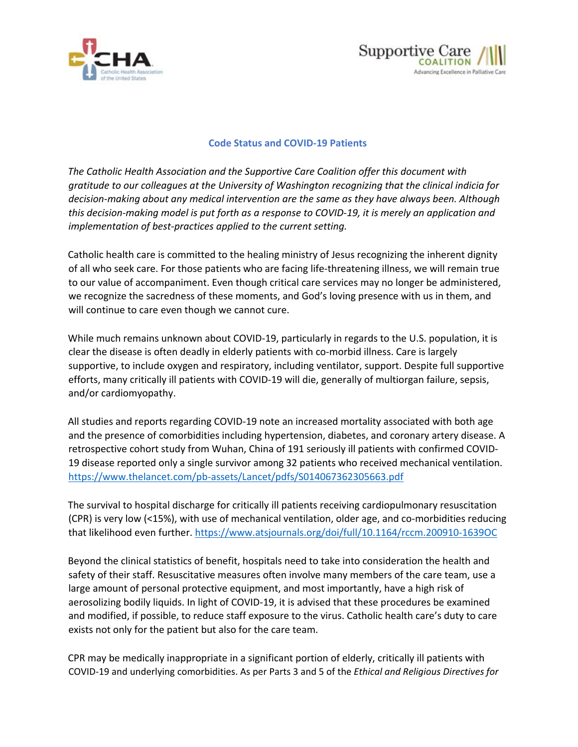



## **Code Status and COVID-19 Patients**

*The Catholic Health Association and the Supportive Care Coalition offer this document with gratitude to our colleagues at the University of Washington recognizing that the clinical indicia for decision-making about any medical intervention are the same as they have always been. Although this decision-making model is put forth as a response to COVID-19, it is merely an application and implementation of best-practices applied to the current setting.*

Catholic health care is committed to the healing ministry of Jesus recognizing the inherent dignity of all who seek care. For those patients who are facing life-threatening illness, we will remain true to our value of accompaniment. Even though critical care services may no longer be administered, we recognize the sacredness of these moments, and God's loving presence with us in them, and will continue to care even though we cannot cure.

While much remains unknown about COVID-19, particularly in regards to the U.S. population, it is clear the disease is often deadly in elderly patients with co-morbid illness. Care is largely supportive, to include oxygen and respiratory, including ventilator, support. Despite full supportive efforts, many critically ill patients with COVID-19 will die, generally of multiorgan failure, sepsis, and/or cardiomyopathy.

All studies and reports regarding COVID-19 note an increased mortality associated with both age and the presence of comorbidities including hypertension, diabetes, and coronary artery disease. A retrospective cohort study from Wuhan, China of 191 seriously ill patients with confirmed COVID-19 disease reported only a single survivor among 32 patients who received mechanical ventilation. <https://www.thelancet.com/pb-assets/Lancet/pdfs/S014067362305663.pdf>

The survival to hospital discharge for critically ill patients receiving cardiopulmonary resuscitation (CPR) is very low (<15%), with use of mechanical ventilation, older age, and co-morbidities reducing that likelihood even further[. https://www.atsjournals.org/doi/full/10.1164/rccm.200910-1639OC](https://www.atsjournals.org/doi/full/10.1164/rccm.200910-1639OC)

Beyond the clinical statistics of benefit, hospitals need to take into consideration the health and safety of their staff. Resuscitative measures often involve many members of the care team, use a large amount of personal protective equipment, and most importantly, have a high risk of aerosolizing bodily liquids. In light of COVID-19, it is advised that these procedures be examined and modified, if possible, to reduce staff exposure to the virus. Catholic health care's duty to care exists not only for the patient but also for the care team.

CPR may be medically inappropriate in a significant portion of elderly, critically ill patients with COVID-19 and underlying comorbidities. As per Parts 3 and 5 of the *Ethical and Religious Directives for*